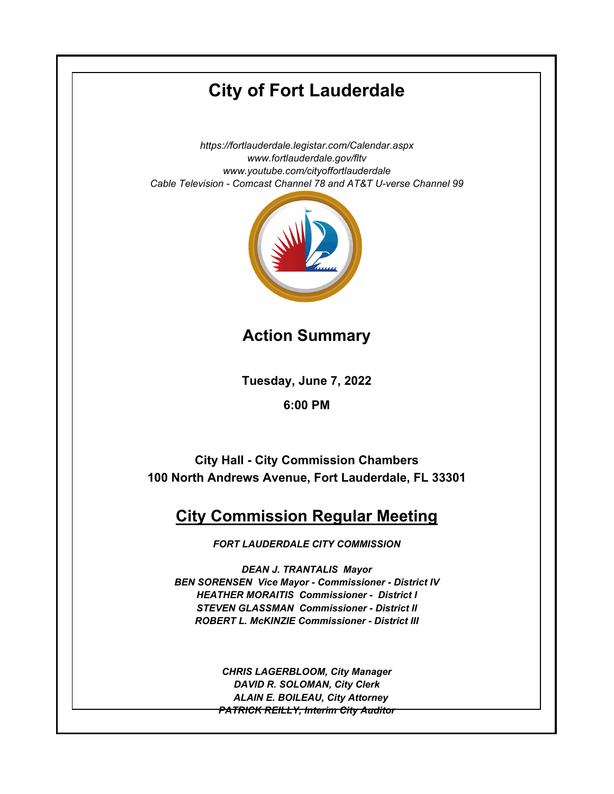# **City of Fort Lauderdale**

*https://fortlauderdale.legistar.com/Calendar.aspx www.fortlauderdale.gov/fltv www.youtube.com/cityoffortlauderdale Cable Television - Comcast Channel 78 and AT&T U-verse Channel 99*



**Action Summary**

**Tuesday, June 7, 2022**

**6:00 PM**

**City Hall - City Commission Chambers 100 North Andrews Avenue, Fort Lauderdale, FL 33301**

# **City Commission Regular Meeting**

*FORT LAUDERDALE CITY COMMISSION*

*DEAN J. TRANTALIS Mayor BEN SORENSEN Vice Mayor - Commissioner - District IV HEATHER MORAITIS Commissioner - District I STEVEN GLASSMAN Commissioner - District II ROBERT L. McKINZIE Commissioner - District III*

> *CHRIS LAGERBLOOM, City Manager DAVID R. SOLOMAN, City Clerk ALAIN E. BOILEAU, City Attorney PATRICK REILLY, Interim City Auditor*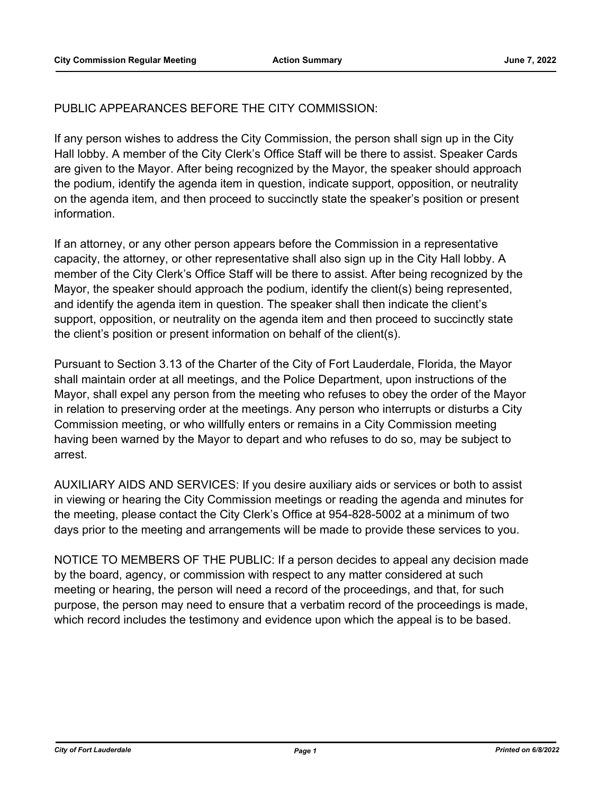## PUBLIC APPEARANCES BEFORE THE CITY COMMISSION:

If any person wishes to address the City Commission, the person shall sign up in the City Hall lobby. A member of the City Clerk's Office Staff will be there to assist. Speaker Cards are given to the Mayor. After being recognized by the Mayor, the speaker should approach the podium, identify the agenda item in question, indicate support, opposition, or neutrality on the agenda item, and then proceed to succinctly state the speaker's position or present information.

If an attorney, or any other person appears before the Commission in a representative capacity, the attorney, or other representative shall also sign up in the City Hall lobby. A member of the City Clerk's Office Staff will be there to assist. After being recognized by the Mayor, the speaker should approach the podium, identify the client(s) being represented, and identify the agenda item in question. The speaker shall then indicate the client's support, opposition, or neutrality on the agenda item and then proceed to succinctly state the client's position or present information on behalf of the client(s).

Pursuant to Section 3.13 of the Charter of the City of Fort Lauderdale, Florida, the Mayor shall maintain order at all meetings, and the Police Department, upon instructions of the Mayor, shall expel any person from the meeting who refuses to obey the order of the Mayor in relation to preserving order at the meetings. Any person who interrupts or disturbs a City Commission meeting, or who willfully enters or remains in a City Commission meeting having been warned by the Mayor to depart and who refuses to do so, may be subject to arrest.

AUXILIARY AIDS AND SERVICES: If you desire auxiliary aids or services or both to assist in viewing or hearing the City Commission meetings or reading the agenda and minutes for the meeting, please contact the City Clerk's Office at 954-828-5002 at a minimum of two days prior to the meeting and arrangements will be made to provide these services to you.

NOTICE TO MEMBERS OF THE PUBLIC: If a person decides to appeal any decision made by the board, agency, or commission with respect to any matter considered at such meeting or hearing, the person will need a record of the proceedings, and that, for such purpose, the person may need to ensure that a verbatim record of the proceedings is made, which record includes the testimony and evidence upon which the appeal is to be based.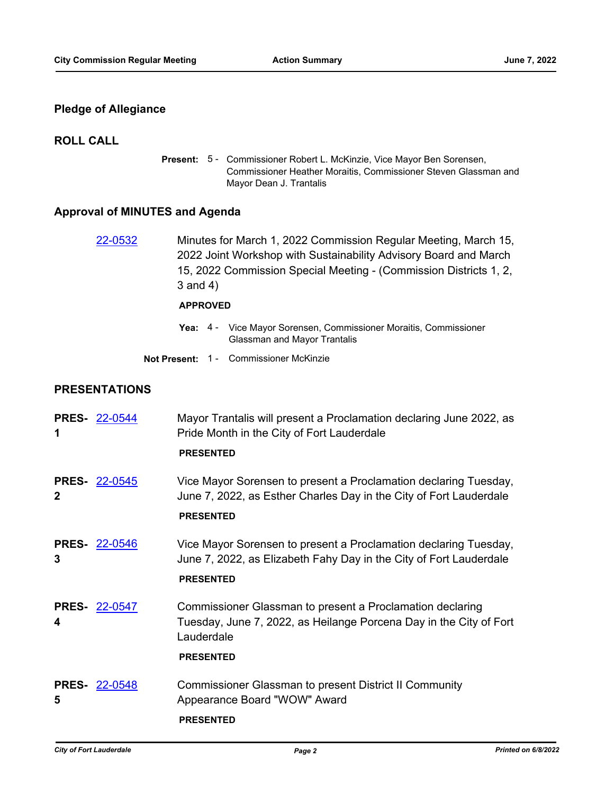## **Pledge of Allegiance**

## **ROLL CALL**

Present: 5 - Commissioner Robert L. McKinzie, Vice Mayor Ben Sorensen, Commissioner Heather Moraitis, Commissioner Steven Glassman and Mayor Dean J. Trantalis

# **Approval of MINUTES and Agenda**

|   | 22-0532              | Minutes for March 1, 2022 Commission Regular Meeting, March 15,<br>2022 Joint Workshop with Sustainability Advisory Board and March<br>15, 2022 Commission Special Meeting - (Commission Districts 1, 2,<br>$3$ and $4)$ |  |  |
|---|----------------------|--------------------------------------------------------------------------------------------------------------------------------------------------------------------------------------------------------------------------|--|--|
|   |                      | <b>APPROVED</b>                                                                                                                                                                                                          |  |  |
|   |                      | Yea: 4 - Vice Mayor Sorensen, Commissioner Moraitis, Commissioner<br><b>Glassman and Mayor Trantalis</b>                                                                                                                 |  |  |
|   |                      | Not Present: 1 - Commissioner McKinzie                                                                                                                                                                                   |  |  |
|   | <b>PRESENTATIONS</b> |                                                                                                                                                                                                                          |  |  |
| 1 | <b>PRES- 22-0544</b> | Mayor Trantalis will present a Proclamation declaring June 2022, as<br>Pride Month in the City of Fort Lauderdale<br><b>PRESENTED</b>                                                                                    |  |  |
| 2 | <b>PRES- 22-0545</b> | Vice Mayor Sorensen to present a Proclamation declaring Tuesday,<br>June 7, 2022, as Esther Charles Day in the City of Fort Lauderdale<br><b>PRESENTED</b>                                                               |  |  |
| 3 | <b>PRES- 22-0546</b> | Vice Mayor Sorensen to present a Proclamation declaring Tuesday,<br>June 7, 2022, as Elizabeth Fahy Day in the City of Fort Lauderdale<br><b>PRESENTED</b>                                                               |  |  |
| 4 | <b>PRES- 22-0547</b> | Commissioner Glassman to present a Proclamation declaring<br>Tuesday, June 7, 2022, as Heilange Porcena Day in the City of Fort<br>Lauderdale<br><b>PRESENTED</b>                                                        |  |  |
| 5 | <b>PRES- 22-0548</b> | <b>Commissioner Glassman to present District II Community</b><br>Appearance Board "WOW" Award                                                                                                                            |  |  |

**PRESENTED**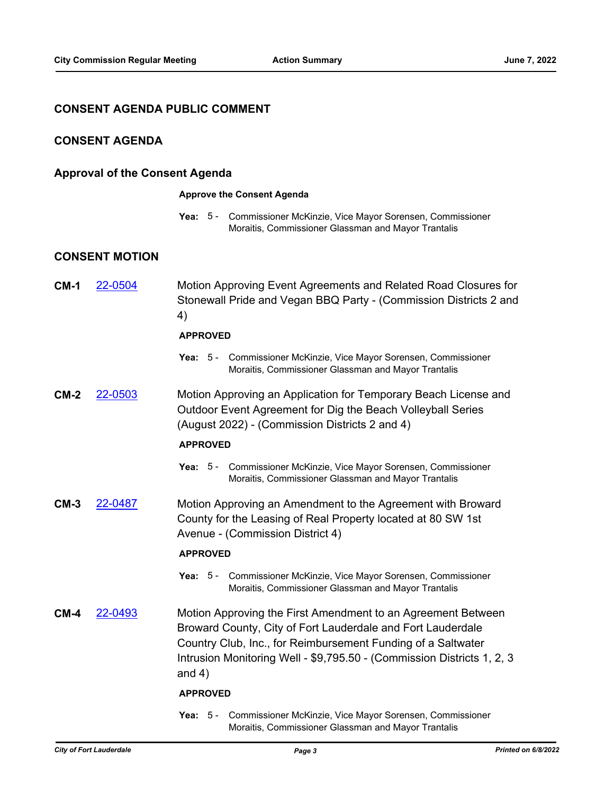## **CONSENT AGENDA PUBLIC COMMENT**

## **CONSENT AGENDA**

## **Approval of the Consent Agenda**

#### **Approve the Consent Agenda**

Yea: 5 - Commissioner McKinzie, Vice Mayor Sorensen, Commissioner Moraitis, Commissioner Glassman and Mayor Trantalis

## **CONSENT MOTION**

**CM-1** [22-0504](http://fortlauderdale.legistar.com/gateway.aspx?m=l&id=/matter.aspx?key=16624) Motion Approving Event Agreements and Related Road Closures for Stonewall Pride and Vegan BBQ Party - (Commission Districts 2 and 4)

#### **APPROVED**

- Yea: 5 Commissioner McKinzie, Vice Mayor Sorensen, Commissioner Moraitis, Commissioner Glassman and Mayor Trantalis
- **CM-2** [22-0503](http://fortlauderdale.legistar.com/gateway.aspx?m=l&id=/matter.aspx?key=16623) Motion Approving an Application for Temporary Beach License and Outdoor Event Agreement for Dig the Beach Volleyball Series (August 2022) - (Commission Districts 2 and 4)

#### **APPROVED**

Yea: 5 - Commissioner McKinzie, Vice Mayor Sorensen, Commissioner Moraitis, Commissioner Glassman and Mayor Trantalis

**CM-3** [22-0487](http://fortlauderdale.legistar.com/gateway.aspx?m=l&id=/matter.aspx?key=16607) Motion Approving an Amendment to the Agreement with Broward County for the Leasing of Real Property located at 80 SW 1st Avenue - (Commission District 4)

#### **APPROVED**

- Yea: 5 Commissioner McKinzie, Vice Mayor Sorensen, Commissioner Moraitis, Commissioner Glassman and Mayor Trantalis
- **CM-4** [22-0493](http://fortlauderdale.legistar.com/gateway.aspx?m=l&id=/matter.aspx?key=16613) Motion Approving the First Amendment to an Agreement Between Broward County, City of Fort Lauderdale and Fort Lauderdale Country Club, Inc., for Reimbursement Funding of a Saltwater Intrusion Monitoring Well - \$9,795.50 - (Commission Districts 1, 2, 3 and 4)

#### **APPROVED**

Yea: 5 - Commissioner McKinzie, Vice Mayor Sorensen, Commissioner Moraitis, Commissioner Glassman and Mayor Trantalis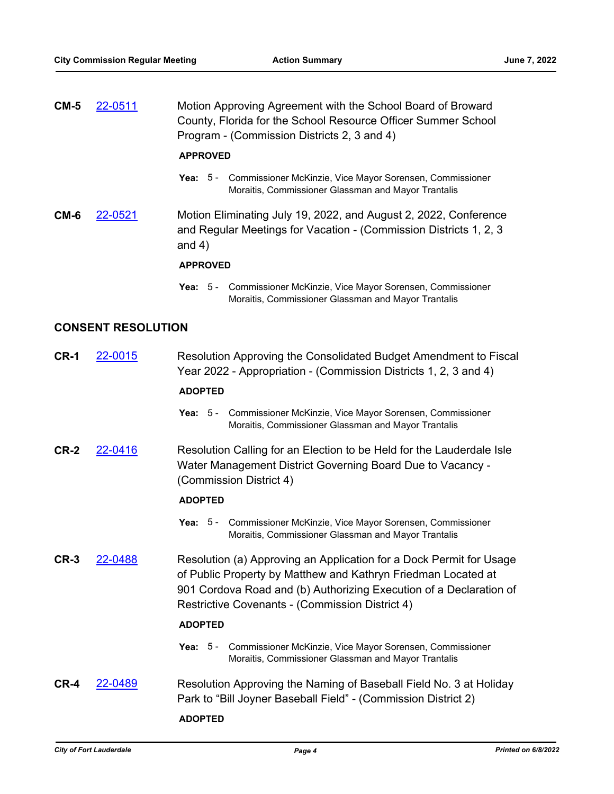| $CM-5$ | 22-0511                   | Motion Approving Agreement with the School Board of Broward<br>County, Florida for the School Resource Officer Summer School<br>Program - (Commission Districts 2, 3 and 4)                                                                                          |  |  |  |
|--------|---------------------------|----------------------------------------------------------------------------------------------------------------------------------------------------------------------------------------------------------------------------------------------------------------------|--|--|--|
|        |                           | <b>APPROVED</b>                                                                                                                                                                                                                                                      |  |  |  |
|        |                           | Yea: 5 - Commissioner McKinzie, Vice Mayor Sorensen, Commissioner<br>Moraitis, Commissioner Glassman and Mayor Trantalis                                                                                                                                             |  |  |  |
| CM-6   | 22-0521                   | Motion Eliminating July 19, 2022, and August 2, 2022, Conference<br>and Regular Meetings for Vacation - (Commission Districts 1, 2, 3)<br>and $4)$                                                                                                                   |  |  |  |
|        |                           | <b>APPROVED</b>                                                                                                                                                                                                                                                      |  |  |  |
|        |                           | Commissioner McKinzie, Vice Mayor Sorensen, Commissioner<br>Yea: $5 -$<br>Moraitis, Commissioner Glassman and Mayor Trantalis                                                                                                                                        |  |  |  |
|        | <b>CONSENT RESOLUTION</b> |                                                                                                                                                                                                                                                                      |  |  |  |
| CR-1   | 22-0015                   | Resolution Approving the Consolidated Budget Amendment to Fiscal<br>Year 2022 - Appropriation - (Commission Districts 1, 2, 3 and 4)                                                                                                                                 |  |  |  |
|        |                           | <b>ADOPTED</b>                                                                                                                                                                                                                                                       |  |  |  |
|        |                           | Yea: 5 - Commissioner McKinzie, Vice Mayor Sorensen, Commissioner<br>Moraitis, Commissioner Glassman and Mayor Trantalis                                                                                                                                             |  |  |  |
| CR-2   | 22-0416                   | Resolution Calling for an Election to be Held for the Lauderdale Isle<br>Water Management District Governing Board Due to Vacancy -<br>(Commission District 4)                                                                                                       |  |  |  |
|        |                           | <b>ADOPTED</b>                                                                                                                                                                                                                                                       |  |  |  |
|        |                           | Yea: 5 - Commissioner McKinzie, Vice Mayor Sorensen, Commissioner<br>Moraitis, Commissioner Glassman and Mayor Trantalis                                                                                                                                             |  |  |  |
| $CR-3$ | 22-0488                   | Resolution (a) Approving an Application for a Dock Permit for Usage<br>of Public Property by Matthew and Kathryn Friedman Located at<br>901 Cordova Road and (b) Authorizing Execution of a Declaration of<br><b>Restrictive Covenants - (Commission District 4)</b> |  |  |  |
|        |                           | <b>ADOPTED</b>                                                                                                                                                                                                                                                       |  |  |  |
|        |                           | Commissioner McKinzie, Vice Mayor Sorensen, Commissioner<br>Yea: $5 -$<br>Moraitis, Commissioner Glassman and Mayor Trantalis                                                                                                                                        |  |  |  |
| CR-4   | 22-0489                   | Resolution Approving the Naming of Baseball Field No. 3 at Holiday<br>Park to "Bill Joyner Baseball Field" - (Commission District 2)                                                                                                                                 |  |  |  |
|        |                           | <b>ADOPTED</b>                                                                                                                                                                                                                                                       |  |  |  |
|        |                           |                                                                                                                                                                                                                                                                      |  |  |  |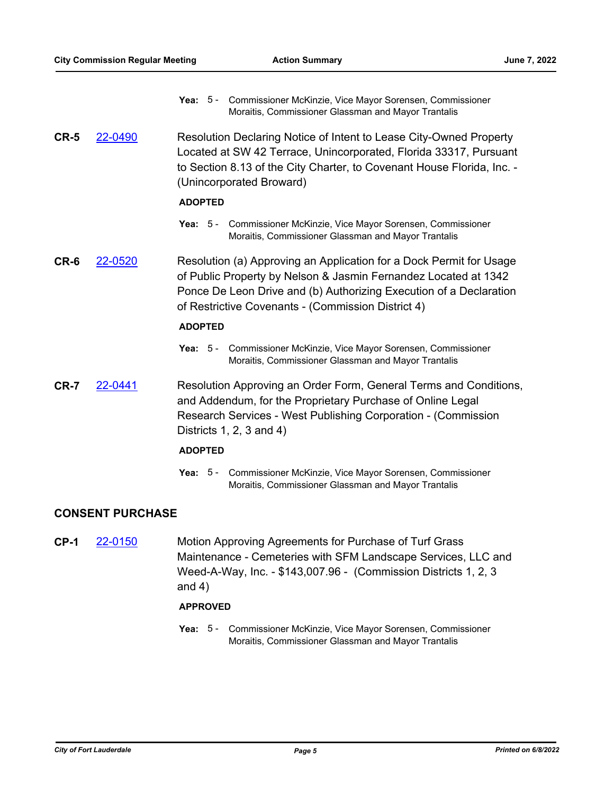- Yea: 5 Commissioner McKinzie, Vice Mayor Sorensen, Commissioner Moraitis, Commissioner Glassman and Mayor Trantalis
- **CR-5** [22-0490](http://fortlauderdale.legistar.com/gateway.aspx?m=l&id=/matter.aspx?key=16610) Resolution Declaring Notice of Intent to Lease City-Owned Property Located at SW 42 Terrace, Unincorporated, Florida 33317, Pursuant to Section 8.13 of the City Charter, to Covenant House Florida, Inc. - (Unincorporated Broward)

## **ADOPTED**

- Yea: 5 Commissioner McKinzie, Vice Mayor Sorensen, Commissioner Moraitis, Commissioner Glassman and Mayor Trantalis
- **CR-6** [22-0520](http://fortlauderdale.legistar.com/gateway.aspx?m=l&id=/matter.aspx?key=16640) Resolution (a) Approving an Application for a Dock Permit for Usage of Public Property by Nelson & Jasmin Fernandez Located at 1342 Ponce De Leon Drive and (b) Authorizing Execution of a Declaration of Restrictive Covenants - (Commission District 4)

## **ADOPTED**

- Yea: 5 Commissioner McKinzie, Vice Mayor Sorensen, Commissioner Moraitis, Commissioner Glassman and Mayor Trantalis
- **CR-7** [22-0441](http://fortlauderdale.legistar.com/gateway.aspx?m=l&id=/matter.aspx?key=16561) Resolution Approving an Order Form, General Terms and Conditions, and Addendum, for the Proprietary Purchase of Online Legal Research Services - West Publishing Corporation - (Commission Districts 1, 2, 3 and 4)

### **ADOPTED**

Yea: 5 - Commissioner McKinzie, Vice Mayor Sorensen, Commissioner Moraitis, Commissioner Glassman and Mayor Trantalis

## **CONSENT PURCHASE**

**CP-1** [22-0150](http://fortlauderdale.legistar.com/gateway.aspx?m=l&id=/matter.aspx?key=16271) Motion Approving Agreements for Purchase of Turf Grass Maintenance - Cemeteries with SFM Landscape Services, LLC and Weed-A-Way, Inc. - \$143,007.96 - (Commission Districts 1, 2, 3 and 4)

## **APPROVED**

Yea: 5 - Commissioner McKinzie, Vice Mayor Sorensen, Commissioner Moraitis, Commissioner Glassman and Mayor Trantalis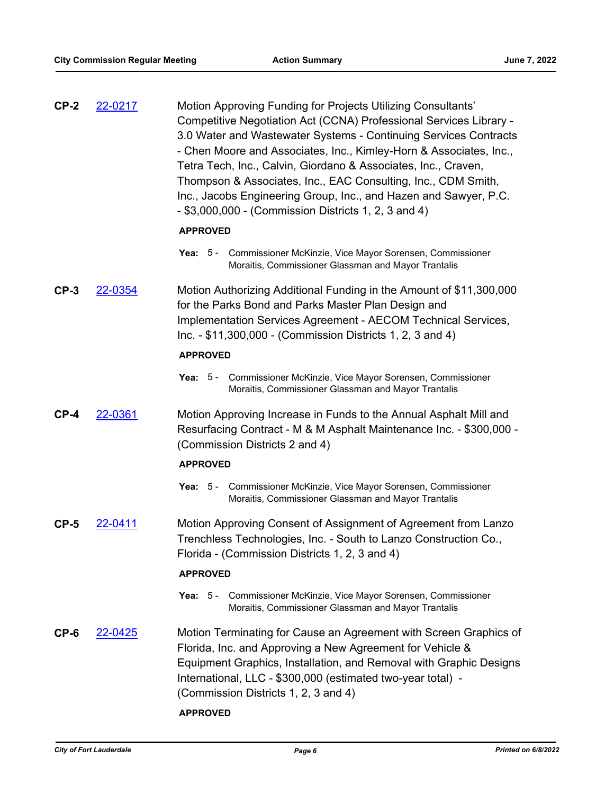| $CP-2$ | 22-0217 | Motion Approving Funding for Projects Utilizing Consultants'<br>Competitive Negotiation Act (CCNA) Professional Services Library -<br>3.0 Water and Wastewater Systems - Continuing Services Contracts<br>- Chen Moore and Associates, Inc., Kimley-Horn & Associates, Inc.,<br>Tetra Tech, Inc., Calvin, Giordano & Associates, Inc., Craven,<br>Thompson & Associates, Inc., EAC Consulting, Inc., CDM Smith,<br>Inc., Jacobs Engineering Group, Inc., and Hazen and Sawyer, P.C.<br>- \$3,000,000 - (Commission Districts 1, 2, 3 and 4) |  |  |  |  |
|--------|---------|---------------------------------------------------------------------------------------------------------------------------------------------------------------------------------------------------------------------------------------------------------------------------------------------------------------------------------------------------------------------------------------------------------------------------------------------------------------------------------------------------------------------------------------------|--|--|--|--|
|        |         | <b>APPROVED</b>                                                                                                                                                                                                                                                                                                                                                                                                                                                                                                                             |  |  |  |  |
|        |         | Yea: 5 - Commissioner McKinzie, Vice Mayor Sorensen, Commissioner<br>Moraitis, Commissioner Glassman and Mayor Trantalis                                                                                                                                                                                                                                                                                                                                                                                                                    |  |  |  |  |
| $CP-3$ | 22-0354 | Motion Authorizing Additional Funding in the Amount of \$11,300,000<br>for the Parks Bond and Parks Master Plan Design and<br>Implementation Services Agreement - AECOM Technical Services,<br>$Inc. - $11,300,000 - (Commission Distributions 1, 2, 3 and 4)$                                                                                                                                                                                                                                                                              |  |  |  |  |
|        |         | <b>APPROVED</b>                                                                                                                                                                                                                                                                                                                                                                                                                                                                                                                             |  |  |  |  |
|        |         | Yea: 5 - Commissioner McKinzie, Vice Mayor Sorensen, Commissioner<br>Moraitis, Commissioner Glassman and Mayor Trantalis                                                                                                                                                                                                                                                                                                                                                                                                                    |  |  |  |  |
| $CP-4$ | 22-0361 | Motion Approving Increase in Funds to the Annual Asphalt Mill and<br>Resurfacing Contract - M & M Asphalt Maintenance Inc. - \$300,000 -<br>(Commission Districts 2 and 4)                                                                                                                                                                                                                                                                                                                                                                  |  |  |  |  |
|        |         | <b>APPROVED</b>                                                                                                                                                                                                                                                                                                                                                                                                                                                                                                                             |  |  |  |  |
|        |         | Yea: 5 - Commissioner McKinzie, Vice Mayor Sorensen, Commissioner<br>Moraitis, Commissioner Glassman and Mayor Trantalis                                                                                                                                                                                                                                                                                                                                                                                                                    |  |  |  |  |
| $CP-5$ | 22-0411 | Motion Approving Consent of Assignment of Agreement from Lanzo<br>Trenchless Technologies, Inc. - South to Lanzo Construction Co.,<br>Florida - (Commission Districts 1, 2, 3 and 4)                                                                                                                                                                                                                                                                                                                                                        |  |  |  |  |
|        |         | <b>APPROVED</b>                                                                                                                                                                                                                                                                                                                                                                                                                                                                                                                             |  |  |  |  |
|        |         | Yea: 5 - Commissioner McKinzie, Vice Mayor Sorensen, Commissioner<br>Moraitis, Commissioner Glassman and Mayor Trantalis                                                                                                                                                                                                                                                                                                                                                                                                                    |  |  |  |  |
| $CP-6$ | 22-0425 | Motion Terminating for Cause an Agreement with Screen Graphics of<br>Florida, Inc. and Approving a New Agreement for Vehicle &<br>Equipment Graphics, Installation, and Removal with Graphic Designs<br>International, LLC - \$300,000 (estimated two-year total) -<br>(Commission Districts 1, 2, 3 and 4)<br><b>APPROVED</b>                                                                                                                                                                                                              |  |  |  |  |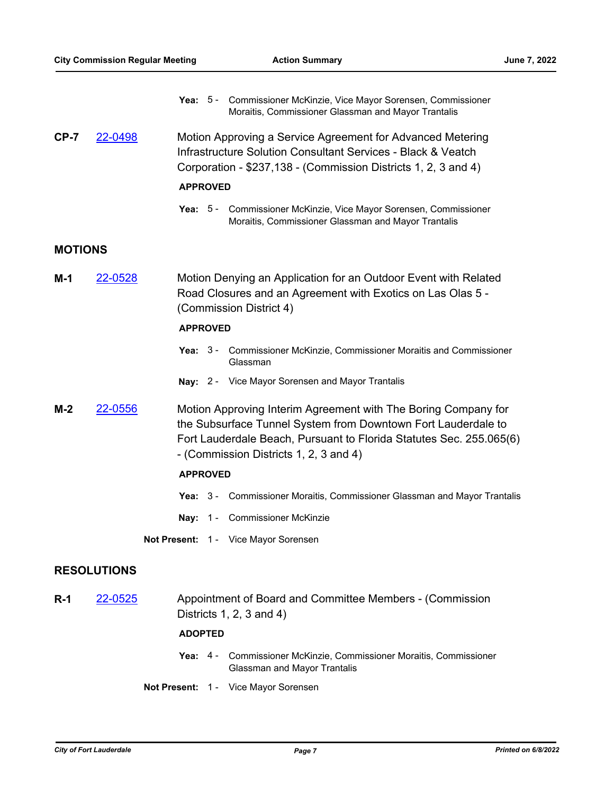|                |                    |                 | Yea: 5 - Commissioner McKinzie, Vice Mayor Sorensen, Commissioner<br>Moraitis, Commissioner Glassman and Mayor Trantalis                                                                                                                         |
|----------------|--------------------|-----------------|--------------------------------------------------------------------------------------------------------------------------------------------------------------------------------------------------------------------------------------------------|
| $CP-7$         | 22-0498            |                 | Motion Approving a Service Agreement for Advanced Metering<br>Infrastructure Solution Consultant Services - Black & Veatch<br>Corporation - \$237,138 - (Commission Districts 1, 2, 3 and 4)                                                     |
|                |                    | <b>APPROVED</b> |                                                                                                                                                                                                                                                  |
|                |                    |                 | Yea: 5 - Commissioner McKinzie, Vice Mayor Sorensen, Commissioner<br>Moraitis, Commissioner Glassman and Mayor Trantalis                                                                                                                         |
| <b>MOTIONS</b> |                    |                 |                                                                                                                                                                                                                                                  |
| M-1            | 22-0528            |                 | Motion Denying an Application for an Outdoor Event with Related<br>Road Closures and an Agreement with Exotics on Las Olas 5 -<br>(Commission District 4)                                                                                        |
|                |                    | <b>APPROVED</b> |                                                                                                                                                                                                                                                  |
|                |                    |                 | Yea: 3 - Commissioner McKinzie, Commissioner Moraitis and Commissioner<br>Glassman                                                                                                                                                               |
|                |                    |                 | Nay: 2 - Vice Mayor Sorensen and Mayor Trantalis                                                                                                                                                                                                 |
| M-2            | 22-0556            |                 | Motion Approving Interim Agreement with The Boring Company for<br>the Subsurface Tunnel System from Downtown Fort Lauderdale to<br>Fort Lauderdale Beach, Pursuant to Florida Statutes Sec. 255.065(6)<br>- (Commission Districts 1, 2, 3 and 4) |
|                |                    | <b>APPROVED</b> |                                                                                                                                                                                                                                                  |
|                |                    |                 | Yea: 3 - Commissioner Moraitis, Commissioner Glassman and Mayor Trantalis                                                                                                                                                                        |
|                |                    | Nav:            | 1 - Commissioner McKinzie                                                                                                                                                                                                                        |
|                |                    |                 | Not Present: 1 - Vice Mayor Sorensen                                                                                                                                                                                                             |
|                | <b>RESOLUTIONS</b> |                 |                                                                                                                                                                                                                                                  |
| $R-1$          | 22-0525            |                 | Appointment of Board and Committee Members - (Commission<br>Districts $1, 2, 3$ and $4)$                                                                                                                                                         |
|                |                    | <b>ADOPTED</b>  |                                                                                                                                                                                                                                                  |
|                |                    |                 | Yea: 4 - Commissioner McKinzie, Commissioner Moraitis, Commissioner<br>Glassman and Mayor Trantalis                                                                                                                                              |

**Not Present:** 1 - Vice Mayor Sorensen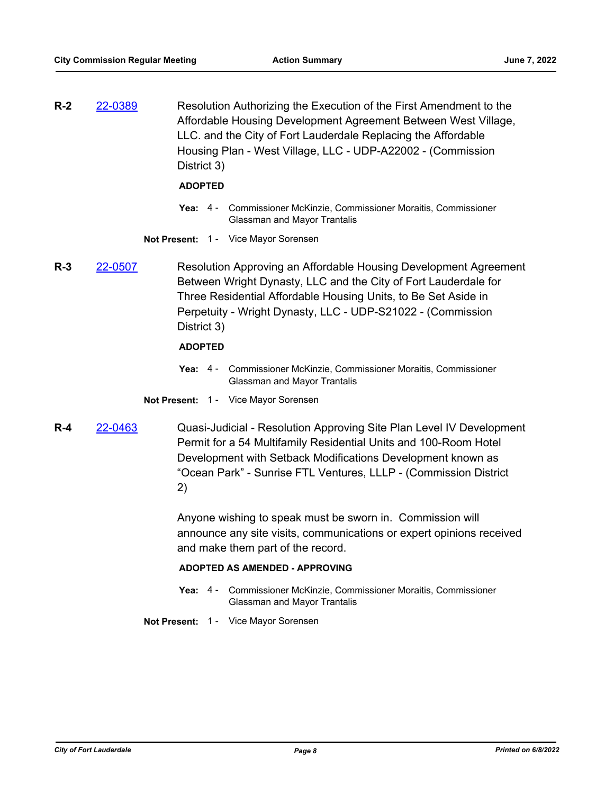**R-2** [22-0389](http://fortlauderdale.legistar.com/gateway.aspx?m=l&id=/matter.aspx?key=16509) Resolution Authorizing the Execution of the First Amendment to the Affordable Housing Development Agreement Between West Village, LLC. and the City of Fort Lauderdale Replacing the Affordable Housing Plan - West Village, LLC - UDP-A22002 - (Commission District 3)

#### **ADOPTED**

- Yea: 4 Commissioner McKinzie, Commissioner Moraitis, Commissioner Glassman and Mayor Trantalis
- **Not Present:** 1 Vice Mayor Sorensen
- **R-3** [22-0507](http://fortlauderdale.legistar.com/gateway.aspx?m=l&id=/matter.aspx?key=16627) Resolution Approving an Affordable Housing Development Agreement Between Wright Dynasty, LLC and the City of Fort Lauderdale for Three Residential Affordable Housing Units, to Be Set Aside in Perpetuity - Wright Dynasty, LLC - UDP-S21022 - (Commission District 3)

### **ADOPTED**

- Yea: 4 Commissioner McKinzie, Commissioner Moraitis, Commissioner Glassman and Mayor Trantalis
- **Not Present:** 1 Vice Mayor Sorensen
- **R-4** [22-0463](http://fortlauderdale.legistar.com/gateway.aspx?m=l&id=/matter.aspx?key=16583) Quasi-Judicial Resolution Approving Site Plan Level IV Development Permit for a 54 Multifamily Residential Units and 100-Room Hotel Development with Setback Modifications Development known as "Ocean Park" - Sunrise FTL Ventures, LLLP - (Commission District 2)

Anyone wishing to speak must be sworn in. Commission will announce any site visits, communications or expert opinions received and make them part of the record.

#### **ADOPTED AS AMENDED - APPROVING**

Yea: 4 - Commissioner McKinzie, Commissioner Moraitis, Commissioner Glassman and Mayor Trantalis

**Not Present:** 1 - Vice Mayor Sorensen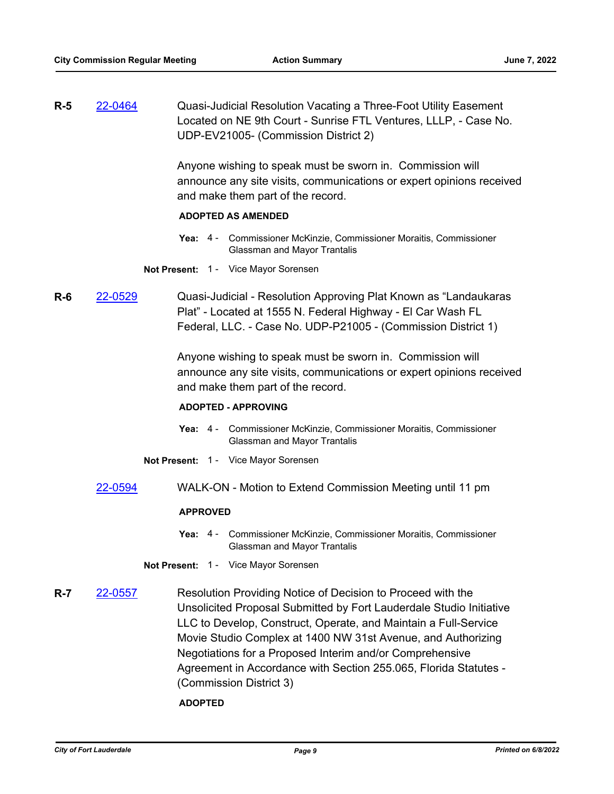**R-5** [22-0464](http://fortlauderdale.legistar.com/gateway.aspx?m=l&id=/matter.aspx?key=16584) Quasi-Judicial Resolution Vacating a Three-Foot Utility Easement Located on NE 9th Court - Sunrise FTL Ventures, LLLP, - Case No. UDP-EV21005- (Commission District 2)

> Anyone wishing to speak must be sworn in. Commission will announce any site visits, communications or expert opinions received and make them part of the record.

## **ADOPTED AS AMENDED**

- Yea: 4 Commissioner McKinzie, Commissioner Moraitis, Commissioner Glassman and Mayor Trantalis
- **Not Present:** 1 Vice Mayor Sorensen
- **R-6** [22-0529](http://fortlauderdale.legistar.com/gateway.aspx?m=l&id=/matter.aspx?key=16649) Quasi-Judicial Resolution Approving Plat Known as "Landaukaras Plat" - Located at 1555 N. Federal Highway - El Car Wash FL Federal, LLC. - Case No. UDP-P21005 - (Commission District 1)

Anyone wishing to speak must be sworn in. Commission will announce any site visits, communications or expert opinions received and make them part of the record.

#### **ADOPTED - APPROVING**

- Yea: 4 Commissioner McKinzie, Commissioner Moraitis, Commissioner Glassman and Mayor Trantalis
- **Not Present:** 1 Vice Mayor Sorensen
- [22-0594](http://fortlauderdale.legistar.com/gateway.aspx?m=l&id=/matter.aspx?key=16714) WALK-ON Motion to Extend Commission Meeting until 11 pm

#### **APPROVED**

- Yea: 4 Commissioner McKinzie, Commissioner Moraitis, Commissioner Glassman and Mayor Trantalis
- **Not Present:** 1 Vice Mayor Sorensen
- **R-7** [22-0557](http://fortlauderdale.legistar.com/gateway.aspx?m=l&id=/matter.aspx?key=16677) Resolution Providing Notice of Decision to Proceed with the Unsolicited Proposal Submitted by Fort Lauderdale Studio Initiative LLC to Develop, Construct, Operate, and Maintain a Full-Service Movie Studio Complex at 1400 NW 31st Avenue, and Authorizing Negotiations for a Proposed Interim and/or Comprehensive Agreement in Accordance with Section 255.065, Florida Statutes - (Commission District 3)

**ADOPTED**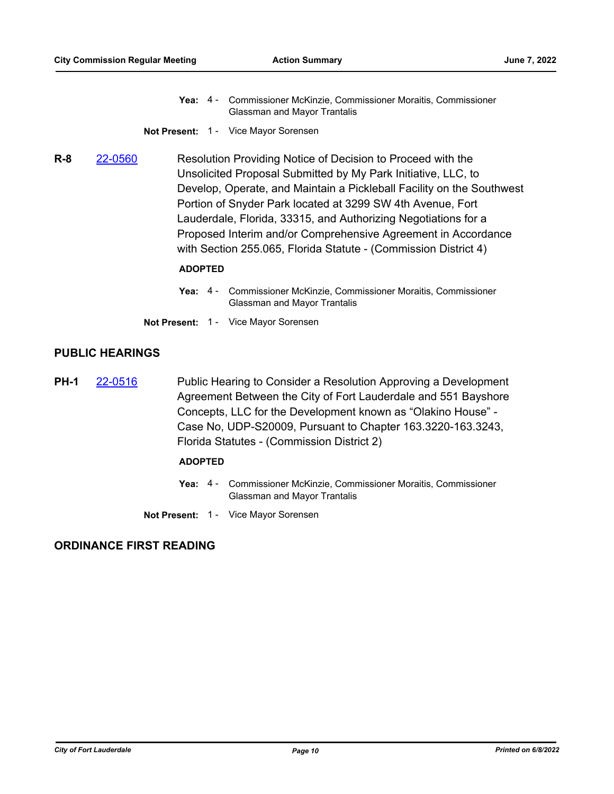- Yea: 4 Commissioner McKinzie, Commissioner Moraitis, Commissioner Glassman and Mayor Trantalis
- **Not Present:** 1 Vice Mayor Sorensen
- **R-8** [22-0560](http://fortlauderdale.legistar.com/gateway.aspx?m=l&id=/matter.aspx?key=16680) Resolution Providing Notice of Decision to Proceed with the Unsolicited Proposal Submitted by My Park Initiative, LLC, to Develop, Operate, and Maintain a Pickleball Facility on the Southwest Portion of Snyder Park located at 3299 SW 4th Avenue, Fort Lauderdale, Florida, 33315, and Authorizing Negotiations for a Proposed Interim and/or Comprehensive Agreement in Accordance with Section 255.065, Florida Statute - (Commission District 4)

#### **ADOPTED**

Yea: 4 - Commissioner McKinzie, Commissioner Moraitis, Commissioner Glassman and Mayor Trantalis

**Not Present:** 1 - Vice Mayor Sorensen

## **PUBLIC HEARINGS**

**PH-1** [22-0516](http://fortlauderdale.legistar.com/gateway.aspx?m=l&id=/matter.aspx?key=16636) Public Hearing to Consider a Resolution Approving a Development Agreement Between the City of Fort Lauderdale and 551 Bayshore Concepts, LLC for the Development known as "Olakino House" - Case No, UDP-S20009, Pursuant to Chapter 163.3220-163.3243, Florida Statutes - (Commission District 2)

#### **ADOPTED**

- Yea: 4 Commissioner McKinzie, Commissioner Moraitis, Commissioner Glassman and Mayor Trantalis
- **Not Present:** 1 Vice Mayor Sorensen

## **ORDINANCE FIRST READING**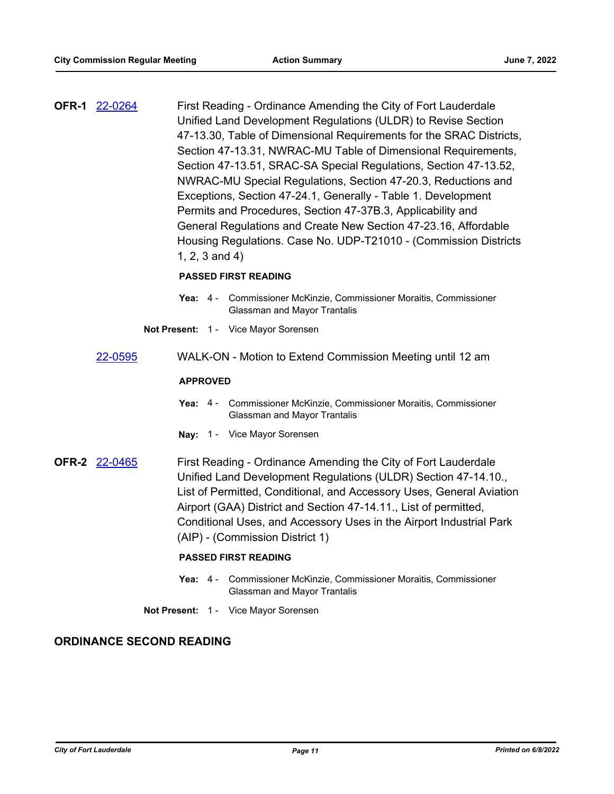**OFR-1** [22-0264](http://fortlauderdale.legistar.com/gateway.aspx?m=l&id=/matter.aspx?key=16384) First Reading - Ordinance Amending the City of Fort Lauderdale Unified Land Development Regulations (ULDR) to Revise Section 47-13.30, Table of Dimensional Requirements for the SRAC Districts, Section 47-13.31, NWRAC-MU Table of Dimensional Requirements, Section 47-13.51, SRAC-SA Special Regulations, Section 47-13.52, NWRAC-MU Special Regulations, Section 47-20.3, Reductions and Exceptions, Section 47-24.1, Generally - Table 1. Development Permits and Procedures, Section 47-37B.3, Applicability and General Regulations and Create New Section 47-23.16, Affordable Housing Regulations. Case No. UDP-T21010 - (Commission Districts 1, 2, 3 and 4)

## **PASSED FIRST READING**

- Yea: 4 Commissioner McKinzie, Commissioner Moraitis, Commissioner Glassman and Mayor Trantalis
- **Not Present:** 1 Vice Mayor Sorensen
- [22-0595](http://fortlauderdale.legistar.com/gateway.aspx?m=l&id=/matter.aspx?key=16715) WALK-ON Motion to Extend Commission Meeting until 12 am

#### **APPROVED**

- Yea: 4 Commissioner McKinzie, Commissioner Moraitis, Commissioner Glassman and Mayor Trantalis
- **Nay:** 1 Vice Mayor Sorensen

**OFR-2** [22-0465](http://fortlauderdale.legistar.com/gateway.aspx?m=l&id=/matter.aspx?key=16585) First Reading - Ordinance Amending the City of Fort Lauderdale Unified Land Development Regulations (ULDR) Section 47-14.10., List of Permitted, Conditional, and Accessory Uses, General Aviation Airport (GAA) District and Section 47-14.11., List of permitted, Conditional Uses, and Accessory Uses in the Airport Industrial Park (AIP) - (Commission District 1)

### **PASSED FIRST READING**

- Yea: 4 Commissioner McKinzie, Commissioner Moraitis, Commissioner Glassman and Mayor Trantalis
- **Not Present:** 1 Vice Mayor Sorensen

## **ORDINANCE SECOND READING**